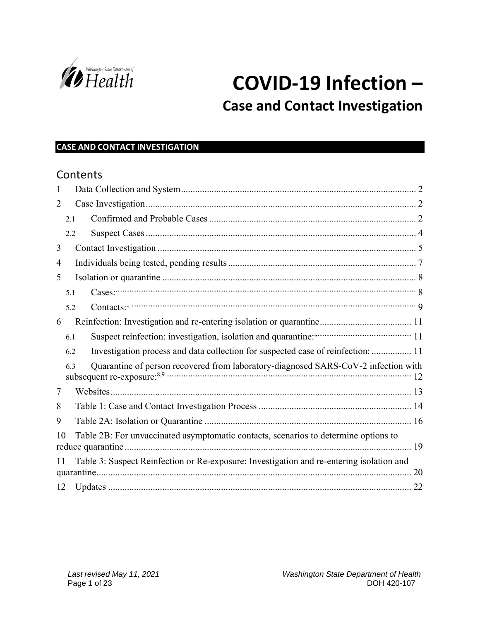

# **COVID-19 Infection –**

## **Case and Contact Investigation**

#### **CASE AND CONTACT INVESTIGATION**

### **Contents**

| 1  |                                                                                                |                                                                                     |  |
|----|------------------------------------------------------------------------------------------------|-------------------------------------------------------------------------------------|--|
| 2  |                                                                                                |                                                                                     |  |
|    | 2.1                                                                                            |                                                                                     |  |
|    | 2.2                                                                                            |                                                                                     |  |
| 3  |                                                                                                |                                                                                     |  |
| 4  |                                                                                                |                                                                                     |  |
| 5  |                                                                                                |                                                                                     |  |
|    | 5.1                                                                                            |                                                                                     |  |
|    | 5.2                                                                                            |                                                                                     |  |
| 6  |                                                                                                |                                                                                     |  |
|    | 6.1                                                                                            |                                                                                     |  |
|    | 6.2                                                                                            | Investigation process and data collection for suspected case of reinfection:  11    |  |
|    | 6.3                                                                                            | Quarantine of person recovered from laboratory-diagnosed SARS-CoV-2 infection with  |  |
| 7  |                                                                                                |                                                                                     |  |
| 8  |                                                                                                |                                                                                     |  |
| 9  |                                                                                                |                                                                                     |  |
| 10 |                                                                                                | Table 2B: For unvaccinated asymptomatic contacts, scenarios to determine options to |  |
|    | Table 3: Suspect Reinfection or Re-exposure: Investigation and re-entering isolation and<br>11 |                                                                                     |  |
| 12 |                                                                                                |                                                                                     |  |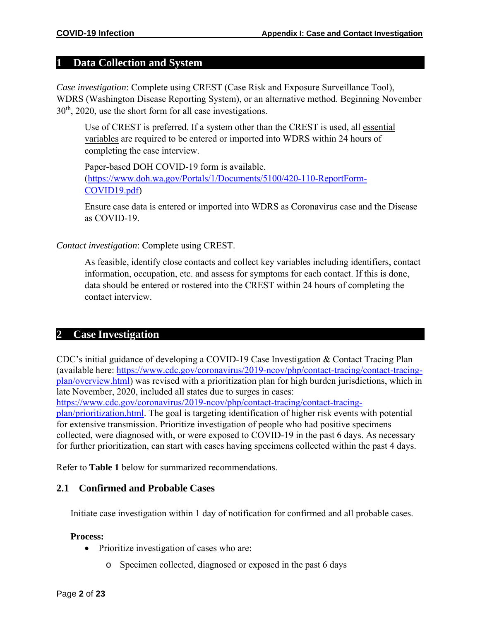#### <span id="page-1-0"></span>**1 Data Collection and System**

*Case investigation*: Complete using CREST (Case Risk and Exposure Surveillance Tool), WDRS (Washington Disease Reporting System), or an alternative method. Beginning November 30th, 2020, use the short form for all case investigations.

Use of CREST is preferred. If a system other than the CREST is used, all [essential](https://www.doh.wa.gov/Portals/1/Documents/5100/420-110-ReportForm-COVID19-EssentialVariables.pdf) [variables](https://www.doh.wa.gov/Portals/1/Documents/5100/420-110-ReportForm-COVID19-EssentialVariables.pdf) are required to be entered or imported into WDRS within 24 hours of completing the case interview.

Paper-based DOH COVID-19 form is available. [\(https://www.doh.wa.gov/Portals/1/Documents/5100/420-110-ReportForm-](https://www.doh.wa.gov/Portals/1/Documents/5100/420-110-ReportForm-COVID19.pdf)[COVID19.pdf\)](https://www.doh.wa.gov/Portals/1/Documents/5100/420-110-ReportForm-COVID19.pdf)

Ensure case data is entered or imported into WDRS as Coronavirus case and the Disease as COVID-19.

#### *Contact investigation*: Complete using CREST.

As feasible, identify close contacts and collect key variables including identifiers, contact information, occupation, etc. and assess for symptoms for each contact. If this is done, data should be entered or rostered into the CREST within 24 hours of completing the contact interview.

#### <span id="page-1-1"></span>**2 Case Investigation**

CDC's initial guidance of developing a COVID-19 Case Investigation & Contact Tracing Plan (available here: [https://www.cdc.gov/coronavirus/2019-ncov/php/contact-tracing/contact-tracing](https://www.cdc.gov/coronavirus/2019-ncov/php/contact-tracing/contact-tracing-plan/overview.html)[plan/overview.html\)](https://www.cdc.gov/coronavirus/2019-ncov/php/contact-tracing/contact-tracing-plan/overview.html) was revised with a prioritization plan for high burden jurisdictions, which in late November, 2020, included all states due to surges in cases:

[https://www.cdc.gov/coronavirus/2019-ncov/php/contact-tracing/contact-tracing-](https://www.cdc.gov/coronavirus/2019-ncov/php/contact-tracing/contact-tracing-plan/prioritization.html)

[plan/prioritization.html.](https://www.cdc.gov/coronavirus/2019-ncov/php/contact-tracing/contact-tracing-plan/prioritization.html) The goal is targeting identification of higher risk events with potential for extensive transmission. Prioritize investigation of people who had positive specimens collected, were diagnosed with, or were exposed to COVID-19 in the past 6 days. As necessary for further prioritization, can start with cases having specimens collected within the past 4 days.

Refer to **Table 1** below for summarized recommendations.

#### <span id="page-1-2"></span>**2.1 Confirmed and Probable Cases**

Initiate case investigation within 1 day of notification for confirmed and all probable cases.

#### **Process:**

- Prioritize investigation of cases who are:
	- o Specimen collected, diagnosed or exposed in the past 6 days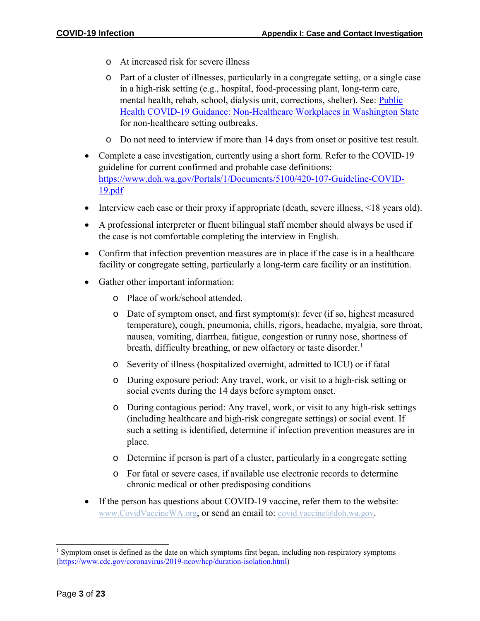- o At increased risk for severe illness
- o Part of a cluster of illnesses, particularly in a congregate setting, or a single case in a high-risk setting (e.g., hospital, food-processing plant, long-term care, mental health, rehab, school, dialysis unit, corrections, shelter). See: [Public](https://www.doh.wa.gov/Portals/1/Documents/5100/420-284-Guidance-NonHC-Workplace.pdf) [Health COVID-19 Guidance: Non-Healthcare Workplaces in Washington State](https://www.doh.wa.gov/Portals/1/Documents/5100/420-284-Guidance-NonHC-Workplace.pdf) for non-healthcare setting outbreaks.
- o Do not need to interview if more than 14 days from onset or positive test result.
- Complete a case investigation, currently using a short form. Refer to the COVID-19 guideline for current confirmed and probable case definitions: [https://www.doh.wa.gov/Portals/1/Documents/5100/420-107-Guideline-COVID-](https://www.doh.wa.gov/Portals/1/Documents/5100/420-107-Guideline-COVID-19.pdf)[19.pdf](https://www.doh.wa.gov/Portals/1/Documents/5100/420-107-Guideline-COVID-19.pdf)
- Interview each case or their proxy if appropriate (death, severe illness, <18 years old).
- A professional interpreter or fluent bilingual staff member should always be used if the case is not comfortable completing the interview in English.
- Confirm that infection prevention measures are in place if the case is in a healthcare facility or congregate setting, particularly a long-term care facility or an institution.
- Gather other important information:
	- o Place of work/school attended.
	- o Date of symptom onset, and first symptom(s): fever (if so, highest measured temperature), cough, pneumonia, chills, rigors, headache, myalgia, sore throat, nausea, vomiting, diarrhea, fatigue, congestion or runny nose, shortness of breath, difficulty breathing, or new olfactory or taste disorder.<sup>1</sup>
	- o Severity of illness (hospitalized overnight, admitted to ICU) or if fatal
	- o During exposure period: Any travel, work, or visit to a high-risk setting or social events during the 14 days before symptom onset.
	- o During contagious period: Any travel, work, or visit to any high-risk settings (including healthcare and high-risk congregate settings) or social event. If such a setting is identified, determine if infection prevention measures are in place.
	- o Determine if person is part of a cluster, particularly in a congregate setting
	- o For fatal or severe cases, if available use electronic records to determine chronic medical or other predisposing conditions
- If the person has questions about COVID-19 vaccine, refer them to the website: [www.CovidVaccineWA.org](https://gcc02.safelinks.protection.outlook.com/?url=http%3A%2F%2Fwww.covidvaccinewa.org%2F&data=04%7C01%7Csoyeon.lippman%40doh.wa.gov%7Ca9dc9c040a734485b46408d8a84eeffe%7C11d0e217264e400a8ba057dcc127d72d%7C0%7C0%7C637444404294807927%7CUnknown%7CTWFpbGZsb3d8eyJWIjoiMC4wLjAwMDAiLCJQIjoiV2luMzIiLCJBTiI6Ik1haWwiLCJXVCI6Mn0%3D%7C1000&sdata=KPAmt6PgYH%2FSHbpMqnfxhtKGFWK7TghJsWojOovg%2FSw%3D&reserved=0), or send an email to: [covid.vaccine@doh.wa.gov](mailto:covid.vaccine@doh.wa.gov).

<sup>&</sup>lt;sup>1</sup> Symptom onset is defined as the date on which symptoms first began, including non-respiratory symptoms [\(https://www.cdc.gov/coronavirus/2019-ncov/hcp/duration-isolation.html\)](https://www.cdc.gov/coronavirus/2019-ncov/hcp/duration-isolation.html)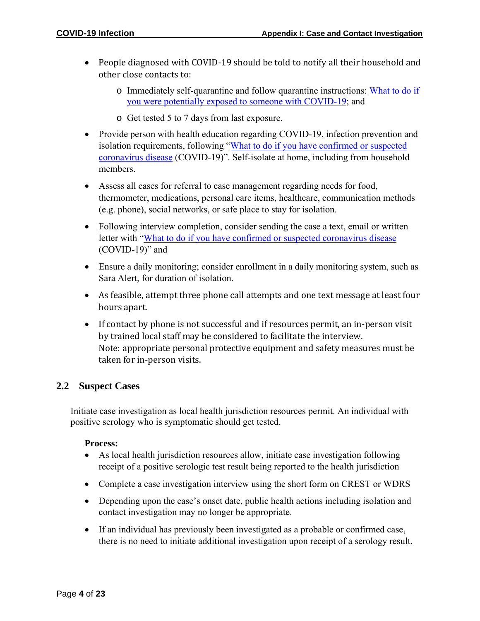- People diagnosed with COVID-19 should be told to notify all their household and other close contacts to:
	- o Immediately self-quarantine and follow quarantine instructions: [What to do if](https://www.doh.wa.gov/Portals/1/Documents/1600/coronavirus/COVIDexposed.pdf) you were [potentially exposed to](https://www.doh.wa.gov/Portals/1/Documents/1600/coronavirus/COVIDexposed.pdf) someone with COVID-19; and
	- o Get tested 5 to 7 days from last exposure.
- Provide person with health education regarding COVID-19, infection prevention and isolation requirements, following ["What to do if you have confirmed or suspected](https://www.doh.wa.gov/Portals/1/Documents/1600/coronavirus/COVIDcasepositive.pdf) [coronavirus disease](https://www.doh.wa.gov/Portals/1/Documents/1600/coronavirus/COVIDcasepositive.pdf) (COVID-19)". Self-isolate at home, including from household members.
- Assess all cases for referral to case management regarding needs for food, thermometer, medications, personal care items, healthcare, communication methods (e.g. phone), social networks, or safe place to stay for isolation.
- Following interview completion, consider sending the case a text, email or written letter with ["What to do if you have confirmed or suspected coronavirus disease](https://www.doh.wa.gov/Portals/1/Documents/1600/coronavirus/COVIDcasepositive.pdf) (COVID-19)" and
- Ensure a daily monitoring; consider enrollment in a daily monitoring system, such as Sara Alert, for duration of isolation.
- As feasible, attempt three phone call attempts and one text message at least four hours apart.
- If contact by phone is not successful and if resources permit, an in-person visit by trained local staff may be considered to facilitate the interview. Note: appropriate personal protective equipment and safety measures must be taken for in-person visits.

#### <span id="page-3-0"></span>**2.2 Suspect Cases**

Initiate case investigation as local health jurisdiction resources permit. An individual with positive serology who is symptomatic should get tested.

#### **Process:**

- As local health jurisdiction resources allow, initiate case investigation following receipt of a positive serologic test result being reported to the health jurisdiction
- Complete a case investigation interview using the short form on CREST or WDRS
- Depending upon the case's onset date, public health actions including isolation and contact investigation may no longer be appropriate.
- If an individual has previously been investigated as a probable or confirmed case, there is no need to initiate additional investigation upon receipt of a serology result.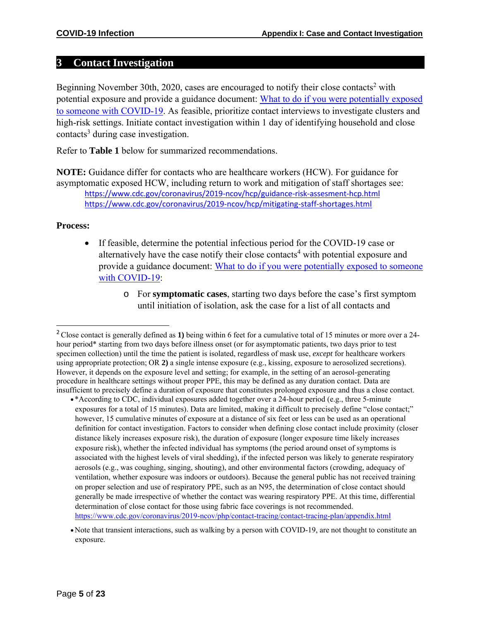#### <span id="page-4-0"></span>**3 Contact Investigation**

Beginning November 30th, 2020, cases are encouraged to notify their close contacts<sup>2</sup> with potential exposure and provide a guidance document: [What to do if you were potentially exposed](https://www.doh.wa.gov/Portals/1/Documents/1600/coronavirus/COVIDexposed.pdf) [to someone with COVID-19.](https://www.doh.wa.gov/Portals/1/Documents/1600/coronavirus/COVIDexposed.pdf) As feasible, prioritize contact interviews to investigate clusters and high-risk settings. Initiate contact investigation within 1 day of identifying household and close contacts<sup>3</sup> during case investigation.

Refer to **Table 1** below for summarized recommendations.

**NOTE:** Guidance differ for contacts who are healthcare workers (HCW). For guidance for asymptomatic exposed HCW, including return to work and mitigation of staff shortages see: <https://www.cdc.gov/coronavirus/2019-ncov/hcp/guidance-risk-assesment-hcp.html> <https://www.cdc.gov/coronavirus/2019-ncov/hcp/mitigating-staff-shortages.html>

#### **Process:**

- If feasible, determine the potential infectious period for the COVID-19 case or alternatively have the case notify their close contacts<sup>4</sup> with potential exposure and provide a guidance document: [What to do if you were potentially exposed to someone](https://www.doh.wa.gov/Portals/1/Documents/1600/coronavirus/COVIDexposed.pdf) with [COVID-19:](https://www.doh.wa.gov/Portals/1/Documents/1600/coronavirus/COVIDexposed.pdf)
	- o For **symptomatic cases**, starting two days before the case's first symptom until initiation of isolation, ask the case for a list of all contacts and

<https://www.cdc.gov/coronavirus/2019-ncov/php/contact-tracing/contact-tracing-plan/appendix.html>

<sup>2</sup>Close contact is generally defined as **1)** being within 6 feet for a cumulative total of 15 minutes or more over a 24 hour period\* starting from two days before illness onset (or for asymptomatic patients, two days prior to test specimen collection) until the time the patient is isolated, regardless of mask use, *except* for healthcare workers using appropriate protection; OR **2)** a single intense exposure (e.g., kissing, exposure to aerosolized secretions). However, it depends on the exposure level and setting; for example, in the setting of an aerosol-generating procedure in healthcare settings without proper PPE, this may be defined as any duration contact. Data are insufficient to precisely define a duration of exposure that constitutes prolonged exposure and thus a close contact.

<sup>•</sup> \*According to CDC, individual exposures added together over a 24-hour period (e.g., three 5-minute exposures for a total of 15 minutes). Data are limited, making it difficult to precisely define "close contact;" however, 15 cumulative minutes of exposure at a distance of six feet or less can be used as an operational definition for contact investigation. Factors to consider when defining close contact include proximity (closer distance likely increases exposure risk), the duration of exposure (longer exposure time likely increases exposure risk), whether the infected individual has symptoms (the period around onset of symptoms is associated with the highest levels of viral shedding), if the infected person was likely to generate respiratory aerosols (e.g., was coughing, singing, shouting), and other environmental factors (crowding, adequacy of ventilation, whether exposure was indoors or outdoors). Because the general public has not received training on proper selection and use of respiratory PPE, such as an N95, the determination of close contact should generally be made irrespective of whether the contact was wearing respiratory PPE. At this time, differential determination of close contact for those using fabric face coverings is not recommended.

<sup>•</sup>Note that transient interactions, such as walking by a person with COVID-19, are not thought to constitute an exposure.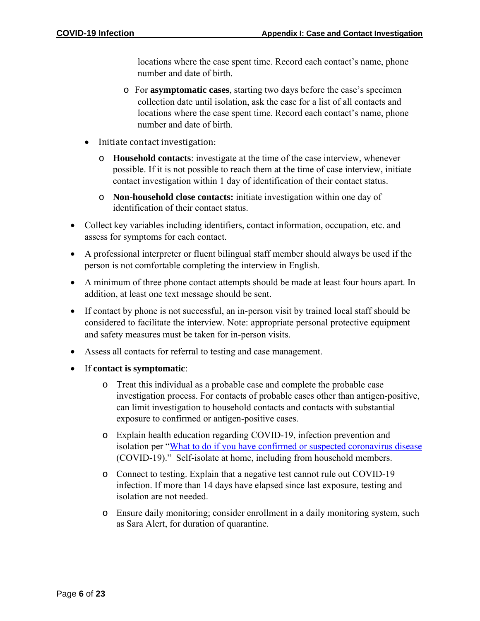locations where the case spent time. Record each contact's name, phone number and date of birth.

- o For **asymptomatic cases**, starting two days before the case's specimen collection date until isolation, ask the case for a list of all contacts and locations where the case spent time. Record each contact's name, phone number and date of birth.
- Initiate contact investigation:
	- o **Household contacts**: investigate at the time of the case interview, whenever possible. If it is not possible to reach them at the time of case interview, initiate contact investigation within 1 day of identification of their contact status.
	- o **Non-household close contacts:** initiate investigation within one day of identification of their contact status.
- Collect key variables including identifiers, contact information, occupation, etc. and assess for symptoms for each contact.
- A professional interpreter or fluent bilingual staff member should always be used if the person is not comfortable completing the interview in English.
- A minimum of three phone contact attempts should be made at least four hours apart. In addition, at least one text message should be sent.
- If contact by phone is not successful, an in-person visit by trained local staff should be considered to facilitate the interview. Note: appropriate personal protective equipment and safety measures must be taken for in-person visits.
- Assess all contacts for referral to testing and case management.
- If **contact is symptomatic**:
	- o Treat this individual as a probable case and complete the probable case investigation process. For contacts of probable cases other than antigen-positive, can limit investigation to household contacts and contacts with substantial exposure to confirmed or antigen-positive cases.
	- o Explain health education regarding COVID-19, infection prevention and isolation per "What to do if you have confirmed or suspected [coronavirus](https://www.doh.wa.gov/Portals/1/Documents/1600/coronavirus/COVIDcasepositive.pdf) disease (COVID-19)." Self-isolate at home, including from household members.
	- o Connect to testing. Explain that a negative test cannot rule out COVID-19 infection. If more than 14 days have elapsed since last exposure, testing and isolation are not needed.
	- o Ensure daily monitoring; consider enrollment in a daily monitoring system, such as Sara Alert, for duration of quarantine.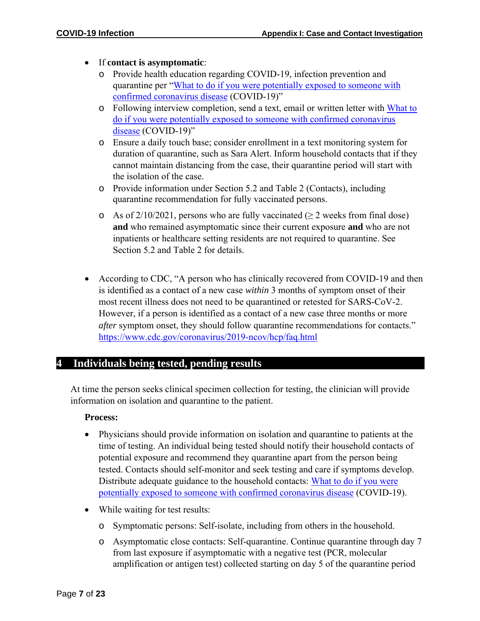- If **contact is asymptomatic**:
	- o Provide health education regarding COVID-19, infection prevention and quarantine per ["What to do if you were potentially exposed to someone with](https://www.doh.wa.gov/Portals/1/Documents/1600/coronavirus/COVIDexposed.pdf) confirmed [coronavirus disease](https://www.doh.wa.gov/Portals/1/Documents/1600/coronavirus/COVIDexposed.pdf) (COVID-19)"
	- o Following interview completion, send a text, email or written letter with [What to](https://www.doh.wa.gov/Portals/1/Documents/1600/coronavirus/COVIDexposed.pdf) do if you were potentially exposed to [someone with confirmed coronavirus](https://www.doh.wa.gov/Portals/1/Documents/1600/coronavirus/COVIDexposed.pdf) [disease](https://www.doh.wa.gov/Portals/1/Documents/1600/coronavirus/COVIDexposed.pdf) (COVID-19)"
	- o Ensure a daily touch base; consider enrollment in a text monitoring system for duration of quarantine, such as Sara Alert. Inform household contacts that if they cannot maintain distancing from the case, their quarantine period will start with the isolation of the case.
	- o Provide information under Section 5.2 and Table 2 (Contacts), including quarantine recommendation for fully vaccinated persons.
	- o As of  $2/10/2021$ , persons who are fully vaccinated ( $\geq 2$  weeks from final dose) **and** who remained asymptomatic since their current exposure **and** who are not inpatients or healthcare setting residents are not required to quarantine. See Section 5.2 and Table 2 for details.
- According to CDC, "A person who has clinically recovered from COVID-19 and then is identified as a contact of a new case *within* 3 months of symptom onset of their most recent illness does not need to be quarantined or retested for SARS-CoV-2. However, if a person is identified as a contact of a new case three months or more *after symptom onset, they should follow quarantine recommendations for contacts.*" <https://www.cdc.gov/coronavirus/2019-ncov/hcp/faq.html>

#### <span id="page-6-0"></span>**4 Individuals being tested, pending results**

At time the person seeks clinical specimen collection for testing, the clinician will provide information on isolation and quarantine to the patient.

#### **Process:**

- Physicians should provide information on isolation and quarantine to patients at the time of testing. An individual being tested should notify their household contacts of potential exposure and recommend they quarantine apart from the person being tested. Contacts should self-monitor and seek testing and care if symptoms develop. Distribute adequate guidance to the household contacts: [What to do if you were](https://www.doh.wa.gov/Portals/1/Documents/1600/coronavirus/COVIDexposed.pdf) potentially exposed to someone with confirmed [coronavirus](https://www.doh.wa.gov/Portals/1/Documents/1600/coronavirus/COVIDexposed.pdf) disease (COVID-19).
- While waiting for test results:
	- o Symptomatic persons: Self-isolate, including from others in the household.
	- o Asymptomatic close contacts: Self-quarantine. Continue quarantine through day 7 from last exposure if asymptomatic with a negative test (PCR, molecular amplification or antigen test) collected starting on day 5 of the quarantine period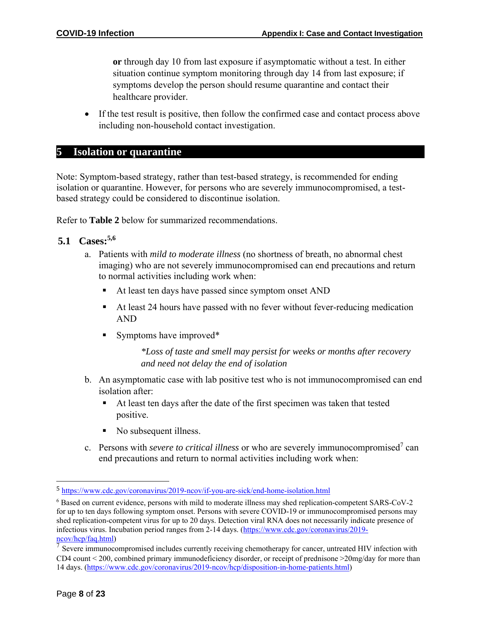**or** through day 10 from last exposure if asymptomatic without a test. In either situation continue symptom monitoring through day 14 from last exposure; if symptoms develop the person should resume quarantine and contact their healthcare provider.

• If the test result is positive, then follow the confirmed case and contact process above including non-household contact investigation.

#### <span id="page-7-0"></span>**5 Isolation or quarantine**

Note: Symptom-based strategy, rather than test-based strategy, is recommended for ending isolation or quarantine. However, for persons who are severely immunocompromised, a testbased strategy could be considered to discontinue isolation.

Refer to **Table 2** below for summarized recommendations.

#### <span id="page-7-1"></span>**5.1 Cases:5,6**

- a. Patients with *mild to moderate illness* (no shortness of breath, no abnormal chest imaging) who are not severely immunocompromised can end precautions and return to normal activities including work when:
	- At least ten days have passed since symptom onset AND
	- At least 24 hours have passed with no fever without fever-reducing medication AND
	- Symptoms have improved<sup>\*</sup>

*\*Loss of taste and smell may persist for weeks or months after recovery and need not delay the end of isolation*

- b. An asymptomatic case with lab positive test who is not immunocompromised can end isolation after:
	- At least ten days after the date of the first specimen was taken that tested positive.
	- No subsequent illness.
- c. Persons with *severe to critical illness* or who are severely immunocompromised<sup>7</sup> can end precautions and return to normal activities including work when:

<sup>5</sup> <https://www.cdc.gov/coronavirus/2019-ncov/if-you-are-sick/end-home-isolation.html>

<sup>6</sup> Based on current evidence, persons with mild to moderate illness may shed replication-competent SARS-CoV-2 for up to ten days following symptom onset. Persons with severe COVID-19 or immunocompromised persons may shed replication-competent virus for up to 20 days. Detection viral RNA does not necessarily indicate presence of infectious virus. Incubation period ranges from 2-14 days. [\(https://www.cdc.gov/coronavirus/2019](https://www.cdc.gov/coronavirus/2019-ncov/hcp/faq.html) [ncov/hcp/faq.html\)](https://www.cdc.gov/coronavirus/2019-ncov/hcp/faq.html)

 $<sup>7</sup>$  Severe immunocompromised includes currently receiving chemotherapy for cancer, untreated HIV infection with</sup> CD4 count < 200, combined primary immunodeficiency disorder, or receipt of prednisone >20mg/day for more than 14 days. [\(https://www.cdc.gov/coronavirus/2019-ncov/hcp/disposition-in-home-patients.html\)](https://www.cdc.gov/coronavirus/2019-ncov/hcp/disposition-in-home-patients.html)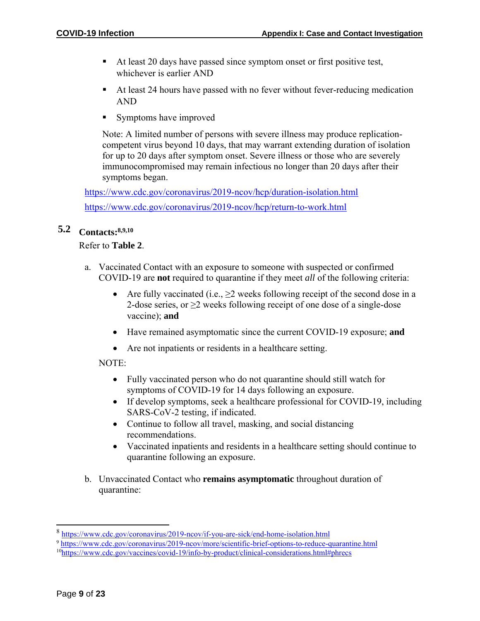- At least 20 days have passed since symptom onset or first positive test, whichever is earlier AND
- At least 24 hours have passed with no fever without fever-reducing medication AND
- Symptoms have improved

Note: A limited number of persons with severe illness may produce replicationcompetent virus beyond 10 days, that may warrant extending duration of isolation for up to 20 days after symptom onset. Severe illness or those who are severely immunocompromised may remain infectious no longer than 20 days after their symptoms began.

<https://www.cdc.gov/coronavirus/2019-ncov/hcp/duration-isolation.html> <https://www.cdc.gov/coronavirus/2019-ncov/hcp/return-to-work.html>

#### <span id="page-8-0"></span>**5.2 Contacts:8,9,10**

#### Refer to **Table 2**.

- a. Vaccinated Contact with an exposure to someone with suspected or confirmed COVID-19 are **not** required to quarantine if they meet *all* of the following criteria:
	- Are fully vaccinated (i.e.,  $\geq$  weeks following receipt of the second dose in a 2-dose series, or  $\geq$  weeks following receipt of one dose of a single-dose vaccine); **and**
	- Have remained asymptomatic since the current COVID-19 exposure; **and**
	- Are not inpatients or residents in a healthcare setting.

#### NOTE:

- Fully vaccinated person who do not quarantine should still watch for symptoms of COVID-19 for 14 days following an exposure.
- If develop symptoms, seek a healthcare professional for COVID-19, including SARS-CoV-2 testing, if indicated.
- Continue to follow all travel, masking, and social distancing recommendations.
- Vaccinated inpatients and residents in a healthcare setting should continue to quarantine following an exposure.
- b. Unvaccinated Contact who **remains asymptomatic** throughout duration of quarantine:

<sup>8</sup> <https://www.cdc.gov/coronavirus/2019-ncov/if-you-are-sick/end-home-isolation.html>

<sup>9</sup> <https://www.cdc.gov/coronavirus/2019-ncov/more/scientific-brief-options-to-reduce-quarantine.html>

<sup>10</sup><https://www.cdc.gov/vaccines/covid-19/info-by-product/clinical-considerations.html#phrecs>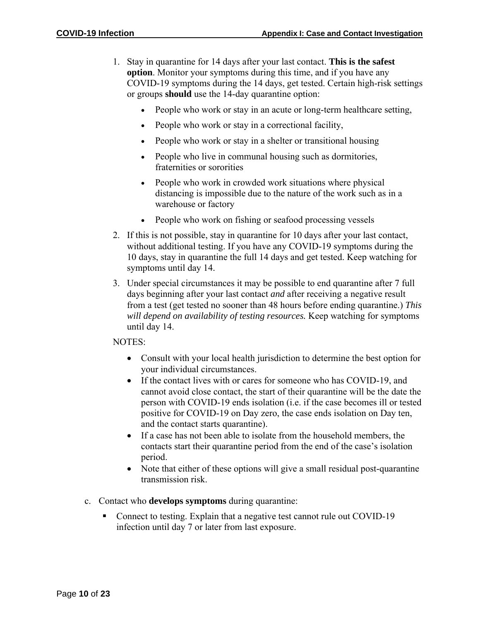- 1. Stay in quarantine for 14 days after your last contact. **This is the safest option**. Monitor your symptoms during this time, and if you have any COVID-19 symptoms during the 14 days, get tested. Certain high-risk settings or groups **should** use the 14-day quarantine option:
	- People who work or stay in an acute or long-term healthcare setting,
	- People who work or stay in a correctional facility,
	- People who work or stay in a shelter or transitional housing
	- People who live in communal housing such as dormitories, fraternities or sororities
	- People who work in crowded work situations where physical distancing is impossible due to the nature of the work such as in a warehouse or factory
	- People who work on fishing or seafood processing vessels
- 2. If this is not possible, stay in quarantine for 10 days after your last contact, without additional testing. If you have any COVID-19 symptoms during the 10 days, stay in quarantine the full 14 days and get tested. Keep watching for symptoms until day 14.
- 3. Under special circumstances it may be possible to end quarantine after 7 full days beginning after your last contact *and* after receiving a negative result from a test (get tested no sooner than 48 hours before ending quarantine.) *This will depend on availability of testing resources.* Keep watching for symptoms until day 14.

#### NOTES:

- Consult with your local health jurisdiction to determine the best option for your individual circumstances.
- If the contact lives with or cares for someone who has COVID-19, and cannot avoid close contact, the start of their quarantine will be the date the person with COVID-19 ends isolation (i.e. if the case becomes ill or tested positive for COVID-19 on Day zero, the case ends isolation on Day ten, and the contact starts quarantine).
- If a case has not been able to isolate from the household members, the contacts start their quarantine period from the end of the case's isolation period.
- Note that either of these options will give a small residual post-quarantine transmission risk.
- c. Contact who **develops symptoms** during quarantine:
	- Connect to testing. Explain that a negative test cannot rule out COVID-19 infection until day 7 or later from last exposure.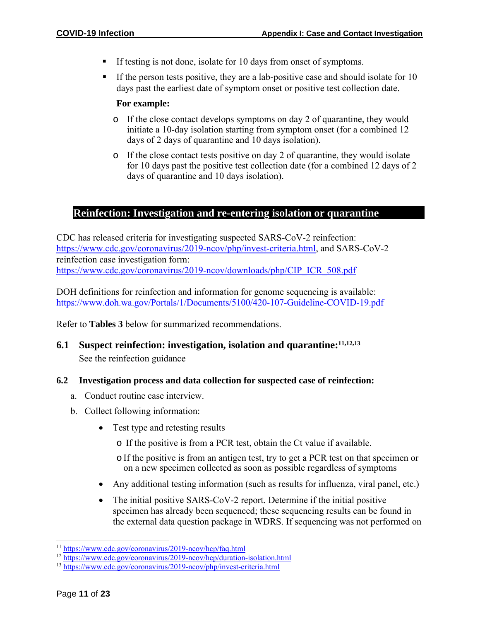- If testing is not done, isolate for 10 days from onset of symptoms.
- If the person tests positive, they are a lab-positive case and should isolate for 10 days past the earliest date of symptom onset or positive test collection date.

#### **For example:**

- o If the close contact develops symptoms on day 2 of quarantine, they would initiate a 10-day isolation starting from symptom onset (for a combined 12 days of 2 days of quarantine and 10 days isolation).
- o If the close contact tests positive on day 2 of quarantine, they would isolate for 10 days past the positive test collection date (for a combined 12 days of 2 days of quarantine and 10 days isolation).

#### <span id="page-10-0"></span>**6 Reinfection: Investigation and re-entering isolation or quarantine**

CDC has released criteria for investigating suspected SARS-CoV-2 reinfection: [https://www.cdc.gov/coronavirus/2019-ncov/php/invest-criteria.html,](https://www.cdc.gov/coronavirus/2019-ncov/php/invest-criteria.html) and SARS-CoV-2 reinfection case investigation form: [https://www.cdc.gov/coronavirus/2019-ncov/downloads/php/CIP\\_ICR\\_508.pdf](https://www.cdc.gov/coronavirus/2019-ncov/downloads/php/CIP_ICR_508.pdf)

DOH definitions for reinfection and information for genome sequencing is available: <https://www.doh.wa.gov/Portals/1/Documents/5100/420-107-Guideline-COVID-19.pdf>

Refer to **Tables 3** below for summarized recommendations.

<span id="page-10-1"></span>**6.1 Suspect reinfection: investigation, isolation and quarantine:11,12,<sup>13</sup>** See the reinfection guidance

#### <span id="page-10-2"></span>**6.2 Investigation process and data collection for suspected case of reinfection:**

- a. Conduct routine case interview.
- b. Collect following information:
	- Test type and retesting results
		- o If the positive is from a PCR test, obtain the Ct value if available.
		- $\circ$  If the positive is from an antigen test, try to get a PCR test on that specimen or on a new specimen collected as soon as possible regardless of symptoms
	- Any additional testing information (such as results for influenza, viral panel, etc.)
	- The initial positive SARS-CoV-2 report. Determine if the initial positive specimen has already been sequenced; these sequencing results can be found in the external data question package in WDRS. If sequencing was not performed on

<sup>11</sup> <https://www.cdc.gov/coronavirus/2019-ncov/hcp/faq.html>

<sup>12</sup> <https://www.cdc.gov/coronavirus/2019-ncov/hcp/duration-isolation.html>

<sup>13</sup> <https://www.cdc.gov/coronavirus/2019-ncov/php/invest-criteria.html>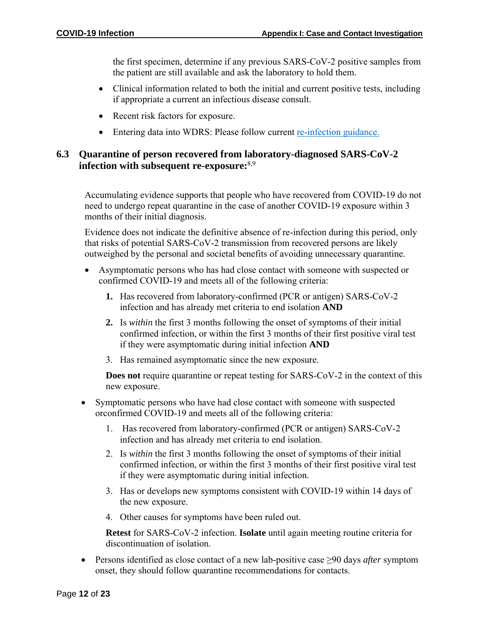the first specimen, determine if any previous SARS-CoV-2 positive samples from the patient are still available and ask the laboratory to hold them.

- Clinical information related to both the initial and current positive tests, including if appropriate a current an infectious disease consult.
- Recent risk factors for exposure.
- Entering data into WDRS: Please follow current [re-infection guidance.](https://doh.sp.wa.gov/sites/EXT/wdrsuser/Documents/COVID19_Reinfection_Investigation_Protocol_021021.pdf)

#### <span id="page-11-0"></span>**6.3 Quarantine of person recovered from laboratory-diagnosed SARS-CoV-2 infection with subsequent re-exposure:**8,9

Accumulating evidence supports that people who have recovered from COVID-19 do not need to undergo repeat quarantine in the case of another COVID-19 exposure within 3 months of their initial diagnosis.

Evidence does not indicate the definitive absence of re-infection during this period, only that risks of potential SARS-CoV-2 transmission from recovered persons are likely outweighed by the personal and societal benefits of avoiding unnecessary quarantine.

- Asymptomatic persons who has had close contact with someone with suspected or confirmed COVID-19 and meets all of the following criteria:
	- **1.** Has recovered from laboratory-confirmed (PCR or antigen) SARS-CoV-2 infection and has already met criteria to end isolation **AND**
	- **2.** Is *within* the first 3 months following the onset of symptoms of their initial confirmed infection, or within the first 3 months of their first positive viral test if they were asymptomatic during initial infection **AND**
	- 3. Has remained asymptomatic since the new exposure.

**Does not** require quarantine or repeat testing for SARS-CoV-2 in the context of this new exposure.

- Symptomatic persons who have had close contact with someone with suspected orconfirmed COVID-19 and meets all of the following criteria:
	- 1. Has recovered from laboratory-confirmed (PCR or antigen) SARS-CoV-2 infection and has already met criteria to end isolation.
	- 2. Is *within* the first 3 months following the onset of symptoms of their initial confirmed infection, or within the first 3 months of their first positive viral test if they were asymptomatic during initial infection.
	- 3. Has or develops new symptoms consistent with COVID-19 within 14 days of the new exposure.
	- 4. Other causes for symptoms have been ruled out.

**Retest** for SARS-CoV-2 infection. **Isolate** until again meeting routine criteria for discontinuation of isolation.

• Persons identified as close contact of a new lab-positive case ≥90 days *after* symptom onset, they should follow quarantine recommendations for contacts.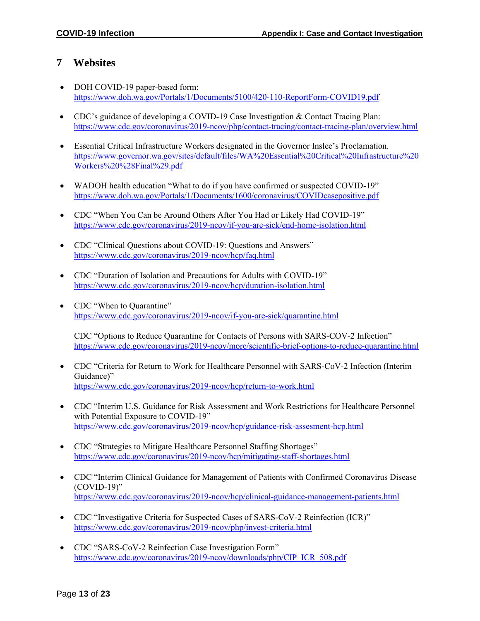#### <span id="page-12-0"></span>**7 Websites**

- DOH COVID-19 paper-based form: <https://www.doh.wa.gov/Portals/1/Documents/5100/420-110-ReportForm-COVID19.pdf>
- CDC's guidance of developing a COVID-19 Case Investigation & Contact Tracing Plan: <https://www.cdc.gov/coronavirus/2019-ncov/php/contact-tracing/contact-tracing-plan/overview.html>
- Essential Critical Infrastructure Workers designated in the Governor Inslee's Proclamation. [https://www.governor.wa.gov/sites/default/files/WA%20Essential%20Critical%20Infrastructure%20](https://www.governor.wa.gov/sites/default/files/WA%20Essential%20Critical%20Infrastructure%20Workers%20%28Final%29.pdf) [Workers%20%28Final%29.pdf](https://www.governor.wa.gov/sites/default/files/WA%20Essential%20Critical%20Infrastructure%20Workers%20%28Final%29.pdf)
- WADOH health education "What to do if you have confirmed or suspected COVID-19" <https://www.doh.wa.gov/Portals/1/Documents/1600/coronavirus/COVIDcasepositive.pdf>
- CDC "When You Can be Around Others After You Had or Likely Had COVID-19" <https://www.cdc.gov/coronavirus/2019-ncov/if-you-are-sick/end-home-isolation.html>
- CDC "Clinical Questions about COVID-19: Questions and Answers" <https://www.cdc.gov/coronavirus/2019-ncov/hcp/faq.html>
- CDC "Duration of Isolation and Precautions for Adults with COVID-19" <https://www.cdc.gov/coronavirus/2019-ncov/hcp/duration-isolation.html>
- CDC "When to Quarantine" <https://www.cdc.gov/coronavirus/2019-ncov/if-you-are-sick/quarantine.html>

CDC "Options to Reduce Quarantine for Contacts of Persons with SARS-COV-2 Infection" [https://www.cdc.gov/coronavirus/2019-ncov/more/scientific-brief-options-to-reduce-quarantine.html](https://gcc02.safelinks.protection.outlook.com/?url=https%3A%2F%2Fwww.cdc.gov%2Fcoronavirus%2F2019-ncov%2Fmore%2Fscientific-brief-options-to-reduce-quarantine.html&data=04%7C01%7CMarcia.Goldoft%40DOH.WA.GOV%7Cd6cc3297952c4983efb708d896ede10c%7C11d0e217264e400a8ba057dcc127d72d%7C0%7C0%7C637425295709425755%7CUnknown%7CTWFpbGZsb3d8eyJWIjoiMC4wLjAwMDAiLCJQIjoiV2luMzIiLCJBTiI6Ik1haWwiLCJXVCI6Mn0%3D%7C1000&sdata=BKdl1h0sEb1eW3K3oeIH8qY7if2BjtKyL9RvPAhWM6s%3D&reserved=0)

- CDC "Criteria for Return to Work for Healthcare Personnel with SARS-CoV-2 Infection (Interim Guidance)" <https://www.cdc.gov/coronavirus/2019-ncov/hcp/return-to-work.html>
- CDC "Interim U.S. Guidance for Risk Assessment and Work Restrictions for Healthcare Personnel with Potential Exposure to COVID-19" <https://www.cdc.gov/coronavirus/2019-ncov/hcp/guidance-risk-assesment-hcp.html>
- CDC "Strategies to Mitigate Healthcare Personnel Staffing Shortages" <https://www.cdc.gov/coronavirus/2019-ncov/hcp/mitigating-staff-shortages.html>
- CDC "Interim Clinical Guidance for Management of Patients with Confirmed Coronavirus Disease (COVID-19)" <https://www.cdc.gov/coronavirus/2019-ncov/hcp/clinical-guidance-management-patients.html>
- CDC "Investigative Criteria for Suspected Cases of SARS-CoV-2 Reinfection (ICR)" <https://www.cdc.gov/coronavirus/2019-ncov/php/invest-criteria.html>
- CDC "SARS-CoV-2 Reinfection Case Investigation Form" [https://www.cdc.gov/coronavirus/2019-ncov/downloads/php/CIP\\_ICR\\_508.pdf](https://www.cdc.gov/coronavirus/2019-ncov/downloads/php/CIP_ICR_508.pdf)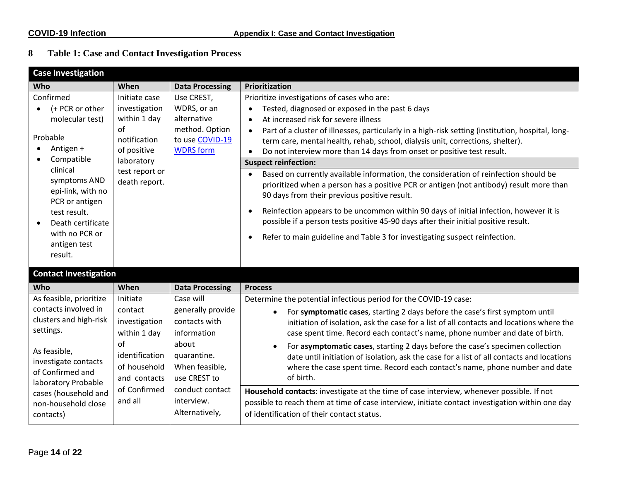### **8 Table 1: Case and Contact Investigation Process**

<span id="page-13-0"></span>

| <b>Case Investigation</b>                                                                                                                                                                                                                                |                                                                                                                                              |                                                                                                                                                                             |                                                                                                                                                                                                                                                                                                                                                                                                                                                                                                                                                                                                                                                                                                                                                                                                                                                                                                                                                                                |
|----------------------------------------------------------------------------------------------------------------------------------------------------------------------------------------------------------------------------------------------------------|----------------------------------------------------------------------------------------------------------------------------------------------|-----------------------------------------------------------------------------------------------------------------------------------------------------------------------------|--------------------------------------------------------------------------------------------------------------------------------------------------------------------------------------------------------------------------------------------------------------------------------------------------------------------------------------------------------------------------------------------------------------------------------------------------------------------------------------------------------------------------------------------------------------------------------------------------------------------------------------------------------------------------------------------------------------------------------------------------------------------------------------------------------------------------------------------------------------------------------------------------------------------------------------------------------------------------------|
| Who                                                                                                                                                                                                                                                      | When                                                                                                                                         | <b>Data Processing</b>                                                                                                                                                      | Prioritization                                                                                                                                                                                                                                                                                                                                                                                                                                                                                                                                                                                                                                                                                                                                                                                                                                                                                                                                                                 |
| Confirmed<br>(+ PCR or other<br>$\bullet$<br>molecular test)<br>Probable<br>Antigen +<br>Compatible<br>clinical<br>symptoms AND<br>epi-link, with no<br>PCR or antigen<br>test result.<br>Death certificate<br>with no PCR or<br>antigen test<br>result. | Initiate case<br>investigation<br>within 1 day<br>$\alpha$ f<br>notification<br>of positive<br>laboratory<br>test report or<br>death report. | Use CREST,<br>WDRS, or an<br>alternative<br>method. Option<br>to use COVID-19<br><b>WDRS</b> form                                                                           | Prioritize investigations of cases who are:<br>Tested, diagnosed or exposed in the past 6 days<br>At increased risk for severe illness<br>$\bullet$<br>Part of a cluster of illnesses, particularly in a high-risk setting (institution, hospital, long-<br>$\bullet$<br>term care, mental health, rehab, school, dialysis unit, corrections, shelter).<br>Do not interview more than 14 days from onset or positive test result.<br><b>Suspect reinfection:</b><br>Based on currently available information, the consideration of reinfection should be<br>$\bullet$<br>prioritized when a person has a positive PCR or antigen (not antibody) result more than<br>90 days from their previous positive result.<br>Reinfection appears to be uncommon within 90 days of initial infection, however it is<br>possible if a person tests positive 45-90 days after their initial positive result.<br>Refer to main guideline and Table 3 for investigating suspect reinfection. |
| <b>Contact Investigation</b>                                                                                                                                                                                                                             |                                                                                                                                              |                                                                                                                                                                             |                                                                                                                                                                                                                                                                                                                                                                                                                                                                                                                                                                                                                                                                                                                                                                                                                                                                                                                                                                                |
| Who                                                                                                                                                                                                                                                      | When                                                                                                                                         | <b>Data Processing</b>                                                                                                                                                      | <b>Process</b>                                                                                                                                                                                                                                                                                                                                                                                                                                                                                                                                                                                                                                                                                                                                                                                                                                                                                                                                                                 |
| As feasible, prioritize<br>contacts involved in<br>clusters and high-risk<br>settings.<br>As feasible,<br>investigate contacts<br>of Confirmed and<br>laboratory Probable<br>cases (household and<br>non-household close<br>contacts)                    | Initiate<br>contact<br>investigation<br>within 1 day<br>of<br>identification<br>of household<br>and contacts<br>of Confirmed<br>and all      | Case will<br>generally provide<br>contacts with<br>information<br>about<br>quarantine.<br>When feasible,<br>use CREST to<br>conduct contact<br>interview.<br>Alternatively, | Determine the potential infectious period for the COVID-19 case:<br>For symptomatic cases, starting 2 days before the case's first symptom until<br>$\bullet$<br>initiation of isolation, ask the case for a list of all contacts and locations where the<br>case spent time. Record each contact's name, phone number and date of birth.<br>For asymptomatic cases, starting 2 days before the case's specimen collection<br>date until initiation of isolation, ask the case for a list of all contacts and locations<br>where the case spent time. Record each contact's name, phone number and date<br>of birth.<br>Household contacts: investigate at the time of case interview, whenever possible. If not<br>possible to reach them at time of case interview, initiate contact investigation within one day<br>of identification of their contact status.                                                                                                              |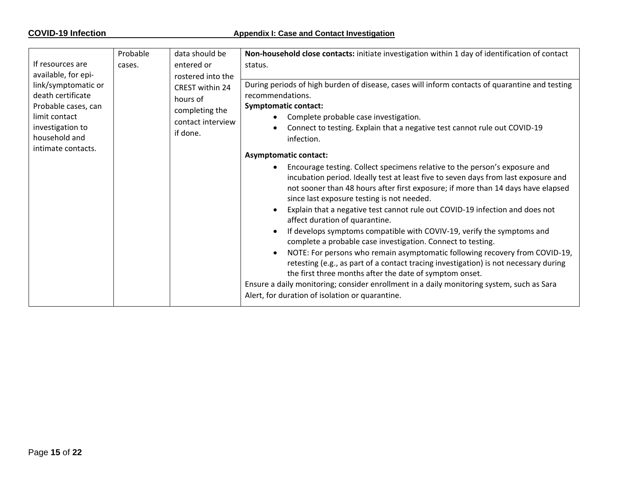#### **COVID-19** Infection **Appendix** I: Case and Contact Investigation

| If resources are<br>entered or<br>status.<br>cases.                                                                                                                                                                                                                                                                                                                                                                                                                                                                                                                                                                                                                                                                                                                                                |                                                                                                                                                                                                                                                                                                                                                                                                                                                                                                                                                                                                                                                                                                                                                                      |
|----------------------------------------------------------------------------------------------------------------------------------------------------------------------------------------------------------------------------------------------------------------------------------------------------------------------------------------------------------------------------------------------------------------------------------------------------------------------------------------------------------------------------------------------------------------------------------------------------------------------------------------------------------------------------------------------------------------------------------------------------------------------------------------------------|----------------------------------------------------------------------------------------------------------------------------------------------------------------------------------------------------------------------------------------------------------------------------------------------------------------------------------------------------------------------------------------------------------------------------------------------------------------------------------------------------------------------------------------------------------------------------------------------------------------------------------------------------------------------------------------------------------------------------------------------------------------------|
| available, for epi-<br>rostered into the                                                                                                                                                                                                                                                                                                                                                                                                                                                                                                                                                                                                                                                                                                                                                           |                                                                                                                                                                                                                                                                                                                                                                                                                                                                                                                                                                                                                                                                                                                                                                      |
| link/symptomatic or<br>CREST within 24<br>recommendations.<br>death certificate<br>hours of<br>Probable cases, can<br><b>Symptomatic contact:</b><br>completing the<br>limit contact<br>Complete probable case investigation.<br>$\bullet$<br>contact interview<br>investigation to<br>if done.<br>household and<br>infection.<br>intimate contacts.<br><b>Asymptomatic contact:</b><br>$\bullet$<br>since last exposure testing is not needed.<br>$\bullet$<br>affect duration of quarantine.<br>$\bullet$<br>complete a probable case investigation. Connect to testing.<br>$\bullet$<br>the first three months after the date of symptom onset.<br>Ensure a daily monitoring; consider enrollment in a daily monitoring system, such as Sara<br>Alert, for duration of isolation or quarantine. | During periods of high burden of disease, cases will inform contacts of quarantine and testing<br>Connect to testing. Explain that a negative test cannot rule out COVID-19<br>Encourage testing. Collect specimens relative to the person's exposure and<br>incubation period. Ideally test at least five to seven days from last exposure and<br>not sooner than 48 hours after first exposure; if more than 14 days have elapsed<br>Explain that a negative test cannot rule out COVID-19 infection and does not<br>If develops symptoms compatible with COVIV-19, verify the symptoms and<br>NOTE: For persons who remain asymptomatic following recovery from COVID-19,<br>retesting (e.g., as part of a contact tracing investigation) is not necessary during |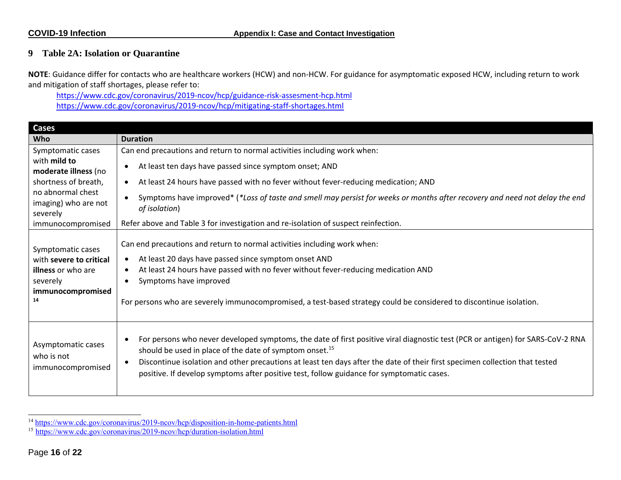#### **9 Table 2A: Isolation or Quarantine**

**NOTE**: Guidance differ for contacts who are healthcare workers (HCW) and non-HCW. For guidance for asymptomatic exposed HCW, including return to work and mitigation of staff shortages, please refer to:

<https://www.cdc.gov/coronavirus/2019-ncov/hcp/guidance-risk-assesment-hcp.html> <https://www.cdc.gov/coronavirus/2019-ncov/hcp/mitigating-staff-shortages.html>

<span id="page-15-0"></span>

| <b>Cases</b>                                                                                                     |                                                                                                                                                                                                                                                                                                                                                                                                                                   |  |  |
|------------------------------------------------------------------------------------------------------------------|-----------------------------------------------------------------------------------------------------------------------------------------------------------------------------------------------------------------------------------------------------------------------------------------------------------------------------------------------------------------------------------------------------------------------------------|--|--|
| <b>Who</b>                                                                                                       | <b>Duration</b>                                                                                                                                                                                                                                                                                                                                                                                                                   |  |  |
| Symptomatic cases                                                                                                | Can end precautions and return to normal activities including work when:                                                                                                                                                                                                                                                                                                                                                          |  |  |
| with mild to<br>moderate illness (no                                                                             | At least ten days have passed since symptom onset; AND                                                                                                                                                                                                                                                                                                                                                                            |  |  |
| shortness of breath,                                                                                             | At least 24 hours have passed with no fever without fever-reducing medication; AND                                                                                                                                                                                                                                                                                                                                                |  |  |
| no abnormal chest<br>imaging) who are not<br>severely                                                            | Symptoms have improved* (*Loss of taste and smell may persist for weeks or months after recovery and need not delay the end<br>of isolation)                                                                                                                                                                                                                                                                                      |  |  |
| immunocompromised                                                                                                | Refer above and Table 3 for investigation and re-isolation of suspect reinfection.                                                                                                                                                                                                                                                                                                                                                |  |  |
| Symptomatic cases<br>with severe to critical<br><b>illness</b> or who are<br>severely<br>immunocompromised<br>14 | Can end precautions and return to normal activities including work when:<br>At least 20 days have passed since symptom onset AND<br>$\bullet$<br>At least 24 hours have passed with no fever without fever-reducing medication AND<br>$\bullet$<br>Symptoms have improved<br>For persons who are severely immunocompromised, a test-based strategy could be considered to discontinue isolation.                                  |  |  |
| Asymptomatic cases<br>who is not<br>immunocompromised                                                            | For persons who never developed symptoms, the date of first positive viral diagnostic test (PCR or antigen) for SARS-CoV-2 RNA<br>should be used in place of the date of symptom onset. <sup>15</sup><br>Discontinue isolation and other precautions at least ten days after the date of their first specimen collection that tested<br>positive. If develop symptoms after positive test, follow guidance for symptomatic cases. |  |  |

<sup>&</sup>lt;sup>14</sup> <https://www.cdc.gov/coronavirus/2019-ncov/hcp/disposition-in-home-patients.html>

<sup>&</sup>lt;sup>15</sup> <https://www.cdc.gov/coronavirus/2019-ncov/hcp/duration-isolation.html>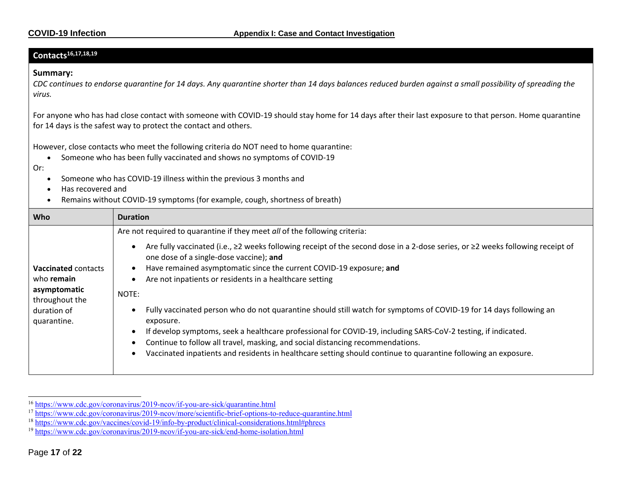#### **Contacts16,17,18,19**

#### **Summary:**

*CDC continues to endorse quarantine for 14 days. Any quarantine shorter than 14 days balances reduced burden against a small possibility of spreading the virus.*

For anyone who has had close contact with someone with COVID-19 should stay home for 14 days after their last exposure to that person. Home quarantine for 14 days is the safest way to protect the contact and others.

However, close contacts who meet the following criteria do NOT need to home quarantine:

- Someone who has been fully vaccinated and shows no symptoms of COVID-19
- Or:
	- Someone who has COVID-19 illness within the previous 3 months and
	- Has recovered and
	- Remains without COVID-19 symptoms (for example, cough, shortness of breath)

| <b>Who</b>                     | <b>Duration</b>                                                                                                                                                           |  |  |  |  |
|--------------------------------|---------------------------------------------------------------------------------------------------------------------------------------------------------------------------|--|--|--|--|
|                                | Are not required to quarantine if they meet all of the following criteria:                                                                                                |  |  |  |  |
|                                | Are fully vaccinated (i.e., ≥2 weeks following receipt of the second dose in a 2-dose series, or ≥2 weeks following receipt of<br>one dose of a single-dose vaccine); and |  |  |  |  |
| <b>Vaccinated contacts</b>     | Have remained asymptomatic since the current COVID-19 exposure; and                                                                                                       |  |  |  |  |
| who remain                     | Are not inpatients or residents in a healthcare setting                                                                                                                   |  |  |  |  |
| asymptomatic<br>throughout the | NOTE:                                                                                                                                                                     |  |  |  |  |
| duration of<br>quarantine.     | Fully vaccinated person who do not quarantine should still watch for symptoms of COVID-19 for 14 days following an<br>exposure.                                           |  |  |  |  |
|                                | If develop symptoms, seek a healthcare professional for COVID-19, including SARS-CoV-2 testing, if indicated.                                                             |  |  |  |  |
|                                | Continue to follow all travel, masking, and social distancing recommendations.                                                                                            |  |  |  |  |
|                                | Vaccinated inpatients and residents in healthcare setting should continue to quarantine following an exposure.                                                            |  |  |  |  |

<sup>&</sup>lt;sup>16</sup> <https://www.cdc.gov/coronavirus/2019-ncov/if-you-are-sick/quarantine.html>

<sup>&</sup>lt;sup>17</sup> <https://www.cdc.gov/coronavirus/2019-ncov/more/scientific-brief-options-to-reduce-quarantine.html>

<sup>18</sup> <https://www.cdc.gov/vaccines/covid-19/info-by-product/clinical-considerations.html#phrecs>

<sup>19</sup> <https://www.cdc.gov/coronavirus/2019-ncov/if-you-are-sick/end-home-isolation.html>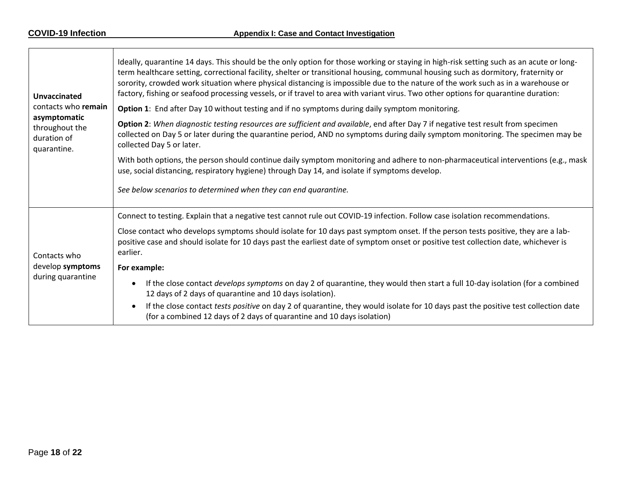|  | <b>Unvaccinated</b><br>contacts who remain<br>asymptomatic | Ideally, quarantine 14 days. This should be the only option for those working or staying in high-risk setting such as an acute or long-<br>term healthcare setting, correctional facility, shelter or transitional housing, communal housing such as dormitory, fraternity or<br>sorority, crowded work situation where physical distancing is impossible due to the nature of the work such as in a warehouse or<br>factory, fishing or seafood processing vessels, or if travel to area with variant virus. Two other options for quarantine duration:<br>Option 1: End after Day 10 without testing and if no symptoms during daily symptom monitoring. |
|--|------------------------------------------------------------|------------------------------------------------------------------------------------------------------------------------------------------------------------------------------------------------------------------------------------------------------------------------------------------------------------------------------------------------------------------------------------------------------------------------------------------------------------------------------------------------------------------------------------------------------------------------------------------------------------------------------------------------------------|
|  | throughout the<br>duration of<br>quarantine.               | Option 2: When diagnostic testing resources are sufficient and available, end after Day 7 if negative test result from specimen<br>collected on Day 5 or later during the quarantine period, AND no symptoms during daily symptom monitoring. The specimen may be<br>collected Day 5 or later.                                                                                                                                                                                                                                                                                                                                                             |
|  |                                                            | With both options, the person should continue daily symptom monitoring and adhere to non-pharmaceutical interventions (e.g., mask<br>use, social distancing, respiratory hygiene) through Day 14, and isolate if symptoms develop.                                                                                                                                                                                                                                                                                                                                                                                                                         |
|  |                                                            | See below scenarios to determined when they can end quarantine.                                                                                                                                                                                                                                                                                                                                                                                                                                                                                                                                                                                            |
|  |                                                            | Connect to testing. Explain that a negative test cannot rule out COVID-19 infection. Follow case isolation recommendations.                                                                                                                                                                                                                                                                                                                                                                                                                                                                                                                                |
|  | Contacts who                                               | Close contact who develops symptoms should isolate for 10 days past symptom onset. If the person tests positive, they are a lab-<br>positive case and should isolate for 10 days past the earliest date of symptom onset or positive test collection date, whichever is<br>earlier.                                                                                                                                                                                                                                                                                                                                                                        |
|  | develop symptoms<br>during quarantine                      | For example:                                                                                                                                                                                                                                                                                                                                                                                                                                                                                                                                                                                                                                               |
|  |                                                            | If the close contact develops symptoms on day 2 of quarantine, they would then start a full 10-day isolation (for a combined<br>12 days of 2 days of quarantine and 10 days isolation).                                                                                                                                                                                                                                                                                                                                                                                                                                                                    |
|  |                                                            | If the close contact tests positive on day 2 of quarantine, they would isolate for 10 days past the positive test collection date<br>(for a combined 12 days of 2 days of quarantine and 10 days isolation)                                                                                                                                                                                                                                                                                                                                                                                                                                                |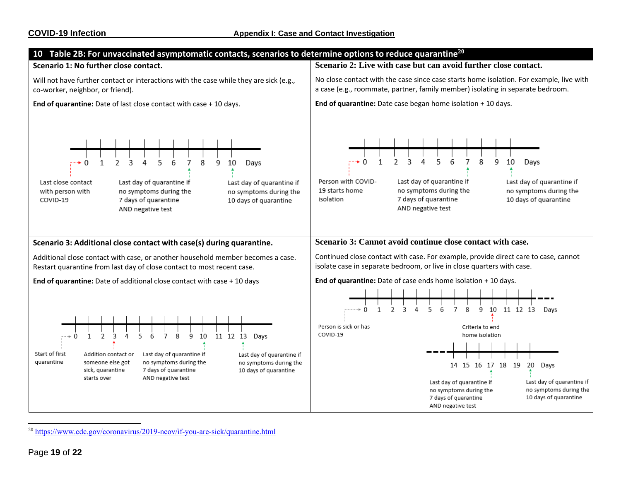<span id="page-18-0"></span>

<sup>20</sup> <https://www.cdc.gov/coronavirus/2019-ncov/if-you-are-sick/quarantine.html>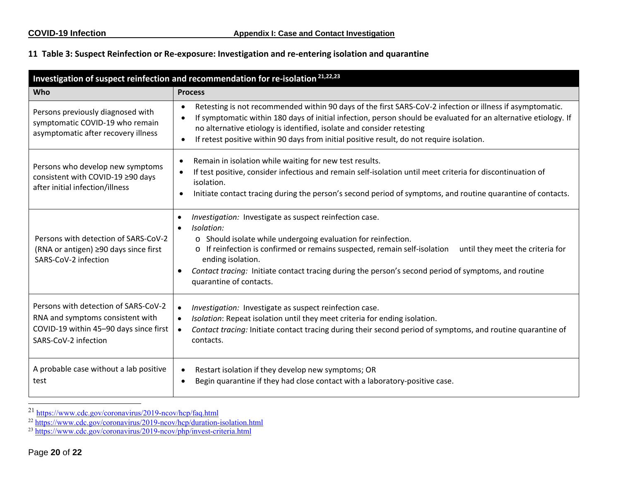#### **11 Table 3: Suspect Reinfection or Re-exposure: Investigation and re-entering isolation and quarantine**

<span id="page-19-0"></span>

| Investigation of suspect reinfection and recommendation for re-isolation <sup>21,22,23</sup>                                               |                                                                                                                                                                                                                                                                                                                                                                                                                                           |  |
|--------------------------------------------------------------------------------------------------------------------------------------------|-------------------------------------------------------------------------------------------------------------------------------------------------------------------------------------------------------------------------------------------------------------------------------------------------------------------------------------------------------------------------------------------------------------------------------------------|--|
| Who                                                                                                                                        | <b>Process</b>                                                                                                                                                                                                                                                                                                                                                                                                                            |  |
| Persons previously diagnosed with<br>symptomatic COVID-19 who remain<br>asymptomatic after recovery illness                                | Retesting is not recommended within 90 days of the first SARS-CoV-2 infection or illness if asymptomatic.<br>$\bullet$<br>If symptomatic within 180 days of initial infection, person should be evaluated for an alternative etiology. If<br>$\bullet$<br>no alternative etiology is identified, isolate and consider retesting<br>If retest positive within 90 days from initial positive result, do not require isolation.<br>$\bullet$ |  |
| Persons who develop new symptoms<br>consistent with COVID-19 ≥90 days<br>after initial infection/illness                                   | Remain in isolation while waiting for new test results.<br>$\bullet$<br>If test positive, consider infectious and remain self-isolation until meet criteria for discontinuation of<br>isolation.<br>Initiate contact tracing during the person's second period of symptoms, and routine quarantine of contacts.                                                                                                                           |  |
| Persons with detection of SARS-CoV-2<br>(RNA or antigen) ≥90 days since first<br>SARS-CoV-2 infection                                      | Investigation: Investigate as suspect reinfection case.<br>$\bullet$<br>Isolation:<br>$\bullet$<br>o Should isolate while undergoing evaluation for reinfection.<br>o If reinfection is confirmed or remains suspected, remain self-isolation<br>until they meet the criteria for<br>ending isolation.<br>Contact tracing: Initiate contact tracing during the person's second period of symptoms, and routine<br>quarantine of contacts. |  |
| Persons with detection of SARS-CoV-2<br>RNA and symptoms consistent with<br>COVID-19 within 45-90 days since first<br>SARS-CoV-2 infection | Investigation: Investigate as suspect reinfection case.<br>$\bullet$<br>Isolation: Repeat isolation until they meet criteria for ending isolation.<br>$\bullet$<br>Contact tracing: Initiate contact tracing during their second period of symptoms, and routine quarantine of<br>contacts.                                                                                                                                               |  |
| A probable case without a lab positive<br>test                                                                                             | Restart isolation if they develop new symptoms; OR<br>$\bullet$<br>Begin quarantine if they had close contact with a laboratory-positive case.                                                                                                                                                                                                                                                                                            |  |

<sup>&</sup>lt;sup>21</sup> <https://www.cdc.gov/coronavirus/2019-ncov/hcp/faq.html>

<sup>&</sup>lt;sup>22</sup> <https://www.cdc.gov/coronavirus/2019-ncov/hcp/duration-isolation.html>

<sup>&</sup>lt;sup>23</sup> <https://www.cdc.gov/coronavirus/2019-ncov/php/invest-criteria.html>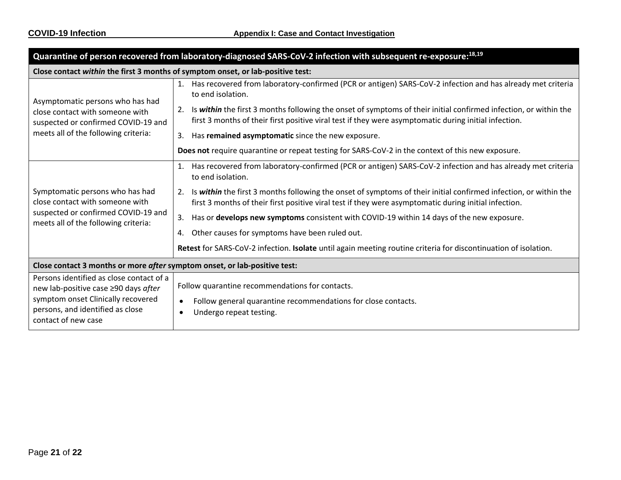| Quarantine of person recovered from laboratory-diagnosed SARS-CoV-2 infection with subsequent re-exposure:18,19                                                                   |                                                                                                                                                                                                                                                                                                                                                                                                                                                                                                                                                                                                                                                        |  |
|-----------------------------------------------------------------------------------------------------------------------------------------------------------------------------------|--------------------------------------------------------------------------------------------------------------------------------------------------------------------------------------------------------------------------------------------------------------------------------------------------------------------------------------------------------------------------------------------------------------------------------------------------------------------------------------------------------------------------------------------------------------------------------------------------------------------------------------------------------|--|
| Close contact within the first 3 months of symptom onset, or lab-positive test:                                                                                                   |                                                                                                                                                                                                                                                                                                                                                                                                                                                                                                                                                                                                                                                        |  |
| Asymptomatic persons who has had<br>close contact with someone with<br>suspected or confirmed COVID-19 and<br>meets all of the following criteria:                                | Has recovered from laboratory-confirmed (PCR or antigen) SARS-CoV-2 infection and has already met criteria<br>1.<br>to end isolation.<br>Is within the first 3 months following the onset of symptoms of their initial confirmed infection, or within the<br>first 3 months of their first positive viral test if they were asymptomatic during initial infection.<br>Has remained asymptomatic since the new exposure.<br>3.<br>Does not require quarantine or repeat testing for SARS-CoV-2 in the context of this new exposure.                                                                                                                     |  |
| Symptomatic persons who has had<br>close contact with someone with<br>suspected or confirmed COVID-19 and<br>meets all of the following criteria:                                 | Has recovered from laboratory-confirmed (PCR or antigen) SARS-CoV-2 infection and has already met criteria<br>1.<br>to end isolation.<br>Is within the first 3 months following the onset of symptoms of their initial confirmed infection, or within the<br>2.<br>first 3 months of their first positive viral test if they were asymptomatic during initial infection.<br>3.<br>Has or develops new symptoms consistent with COVID-19 within 14 days of the new exposure.<br>Other causes for symptoms have been ruled out.<br>4.<br>Retest for SARS-CoV-2 infection. Isolate until again meeting routine criteria for discontinuation of isolation. |  |
| Close contact 3 months or more after symptom onset, or lab-positive test:                                                                                                         |                                                                                                                                                                                                                                                                                                                                                                                                                                                                                                                                                                                                                                                        |  |
| Persons identified as close contact of a<br>new lab-positive case ≥90 days after<br>symptom onset Clinically recovered<br>persons, and identified as close<br>contact of new case | Follow quarantine recommendations for contacts.<br>Follow general quarantine recommendations for close contacts.<br>$\bullet$<br>Undergo repeat testing.<br>$\bullet$                                                                                                                                                                                                                                                                                                                                                                                                                                                                                  |  |